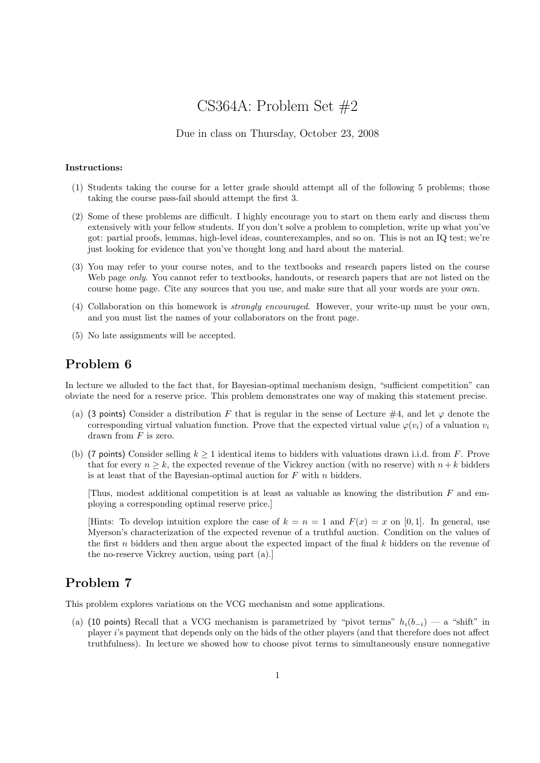# CS364A: Problem Set #2

#### Due in class on Thursday, October 23, 2008

#### Instructions:

- (1) Students taking the course for a letter grade should attempt all of the following 5 problems; those taking the course pass-fail should attempt the first 3.
- (2) Some of these problems are difficult. I highly encourage you to start on them early and discuss them extensively with your fellow students. If you don't solve a problem to completion, write up what you've got: partial proofs, lemmas, high-level ideas, counterexamples, and so on. This is not an IQ test; we're just looking for evidence that you've thought long and hard about the material.
- (3) You may refer to your course notes, and to the textbooks and research papers listed on the course Web page *only*. You cannot refer to textbooks, handouts, or research papers that are not listed on the course home page. Cite any sources that you use, and make sure that all your words are your own.
- (4) Collaboration on this homework is strongly encouraged. However, your write-up must be your own, and you must list the names of your collaborators on the front page.
- (5) No late assignments will be accepted.

### Problem 6

In lecture we alluded to the fact that, for Bayesian-optimal mechanism design, "sufficient competition" can obviate the need for a reserve price. This problem demonstrates one way of making this statement precise.

- (a) (3 points) Consider a distribution F that is regular in the sense of Lecture #4, and let  $\varphi$  denote the corresponding virtual valuation function. Prove that the expected virtual value  $\varphi(v_i)$  of a valuation  $v_i$ drawn from  $F$  is zero.
- (b) (7 points) Consider selling  $k \ge 1$  identical items to bidders with valuations drawn i.i.d. from F. Prove that for every  $n \geq k$ , the expected revenue of the Vickrey auction (with no reserve) with  $n + k$  bidders is at least that of the Bayesian-optimal auction for  $F$  with  $n$  bidders.

Thus, modest additional competition is at least as valuable as knowing the distribution  $F$  and employing a corresponding optimal reserve price.]

[Hints: To develop intuition explore the case of  $k = n = 1$  and  $F(x) = x$  on [0, 1]. In general, use Myerson's characterization of the expected revenue of a truthful auction. Condition on the values of the first n bidders and then argue about the expected impact of the final  $k$  bidders on the revenue of the no-reserve Vickrey auction, using part (a).]

### Problem 7

This problem explores variations on the VCG mechanism and some applications.

(a) (10 points) Recall that a VCG mechanism is parametrized by "pivot terms"  $h_i(b_{-i})$  — a "shift" in player i's payment that depends only on the bids of the other players (and that therefore does not affect truthfulness). In lecture we showed how to choose pivot terms to simultaneously ensure nonnegative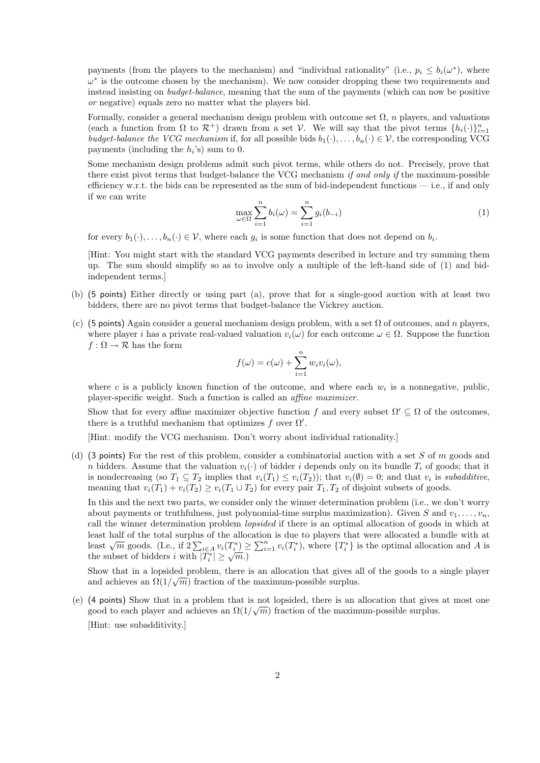payments (from the players to the mechanism) and "individual rationality" (i.e.,  $p_i \leq b_i(\omega^*)$ , where  $\omega^*$  is the outcome chosen by the mechanism). We now consider dropping these two requirements and instead insisting on budget-balance, meaning that the sum of the payments (which can now be positive or negative) equals zero no matter what the players bid.

Formally, consider a general mechanism design problem with outcome set  $\Omega$ , n players, and valuations (each a function from  $\Omega$  to  $\mathcal{R}^+$ ) drawn from a set V. We will say that the pivot terms  $\{h_i(\cdot)\}_{i=1}^n$ budget-balance the VCG mechanism if, for all possible bids  $b_1(\cdot), \ldots, b_n(\cdot) \in \mathcal{V}$ , the corresponding VCG payments (including the  $h_i$ 's) sum to 0.

Some mechanism design problems admit such pivot terms, while others do not. Precisely, prove that there exist pivot terms that budget-balance the VCG mechanism if and only if the maximum-possible efficiency w.r.t. the bids can be represented as the sum of bid-independent functions  $-$  i.e., if and only if we can write

$$
\max_{\omega \in \Omega} \sum_{i=1}^{n} b_i(\omega) = \sum_{i=1}^{n} g_i(b_{-i})
$$
\n(1)

for every  $b_1(\cdot), \ldots, b_n(\cdot) \in \mathcal{V}$ , where each  $g_i$  is some function that does not depend on  $b_i$ .

[Hint: You might start with the standard VCG payments described in lecture and try summing them up. The sum should simplify so as to involve only a multiple of the left-hand side of (1) and bidindependent terms.]

- (b) (5 points) Either directly or using part (a), prove that for a single-good auction with at least two bidders, there are no pivot terms that budget-balance the Vickrey auction.
- (c) (5 points) Again consider a general mechanism design problem, with a set  $\Omega$  of outcomes, and n players, where player i has a private real-valued valuation  $v_i(\omega)$  for each outcome  $\omega \in \Omega$ . Suppose the function  $f : \Omega \to \mathcal{R}$  has the form

$$
f(\omega) = c(\omega) + \sum_{i=1}^{n} w_i v_i(\omega),
$$

where c is a publicly known function of the outcome, and where each  $w_i$  is a nonnegative, public, player-specific weight. Such a function is called an affine maximizer.

Show that for every affine maximizer objective function f and every subset  $\Omega' \subseteq \Omega$  of the outcomes, there is a truthful mechanism that optimizes f over  $\Omega'$ .

[Hint: modify the VCG mechanism. Don't worry about individual rationality.]

(d) (3 points) For the rest of this problem, consider a combinatorial auction with a set S of m goods and n bidders. Assume that the valuation  $v_i(\cdot)$  of bidder i depends only on its bundle  $T_i$  of goods; that it is nondecreasing (so  $T_1 \subseteq T_2$  implies that  $v_i(T_1) \le v_i(T_2)$ ); that  $v_i(\emptyset) = 0$ ; and that  $v_i$  is *subadditive*, meaning that  $v_i(T_1) + v_i(T_2) \ge v_i(T_1 \cup T_2)$  for every pair  $T_1, T_2$  of disjoint subsets of goods.

In this and the next two parts, we consider only the winner determination problem (i.e., we don't worry about payments or truthfulness, just polynomial-time surplus maximization). Given S and  $v_1, \ldots, v_n$ , call the winner determination problem *lopsided* if there is an optimal allocation of goods in which at least half of the total surplus of the allocation is due to players that were allocated a bundle with at least han of the total surplus of the anocation is due to players that were anocated a bundle with at least  $\sqrt{m}$  goods. (I.e., if  $2\sum_{i\in A} v_i(T_i^*) \geq \sum_{i=1}^n v_i(T_i^*)$ , where  $\{T_i^*\}$  is the optimal allocation and A is the subset of bidders i with  $|T_i^*| \geq \sqrt{m}$ .

Show that in a lopsided problem, there is an allocation that gives all of the goods to a single player and achieves an  $\Omega(1/\sqrt{m})$  fraction of the maximum-possible surplus.

(e) (4 points) Show that in a problem that is not lopsided, there is an allocation that gives at most one (4 points) show that in a problem that is not lopsided, there is an anotation that gives good to each player and achieves an  $\Omega(1/\sqrt{m})$  fraction of the maximum-possible surplus. [Hint: use subadditivity.]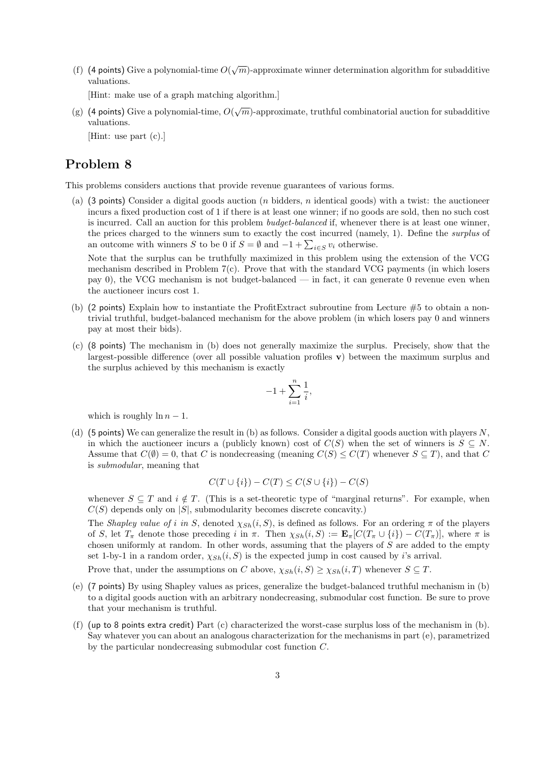(f) (4 points) Give a polynomial-time  $O(\sqrt{m})$ -approximate winner determination algorithm for subadditive valuations.

[Hint: make use of a graph matching algorithm.]

(g) (4 points) Give a polynomial-time,  $O(\sqrt{m})$ -approximate, truthful combinatorial auction for subadditive valuations.

[Hint: use part (c).]

## Problem 8

This problems considers auctions that provide revenue guarantees of various forms.

(a) (3 points) Consider a digital goods auction (*n* bidders, *n* identical goods) with a twist: the auctioneer incurs a fixed production cost of 1 if there is at least one winner; if no goods are sold, then no such cost is incurred. Call an auction for this problem *budget-balanced* if, whenever there is at least one winner, the prices charged to the winners sum to exactly the cost incurred (namely, 1). Define the *surplus* of an outcome with winners S to be 0 if  $S = \emptyset$  and  $-1 + \sum_{i \in S} v_i$  otherwise.

Note that the surplus can be truthfully maximized in this problem using the extension of the VCG mechanism described in Problem 7(c). Prove that with the standard VCG payments (in which losers pay 0), the VCG mechanism is not budget-balanced — in fact, it can generate 0 revenue even when the auctioneer incurs cost 1.

- (b) (2 points) Explain how to instantiate the ProfitExtract subroutine from Lecture  $#5$  to obtain a nontrivial truthful, budget-balanced mechanism for the above problem (in which losers pay 0 and winners pay at most their bids).
- (c) (8 points) The mechanism in (b) does not generally maximize the surplus. Precisely, show that the largest-possible difference (over all possible valuation profiles  $\bf{v}$ ) between the maximum surplus and the surplus achieved by this mechanism is exactly

$$
-1+\sum_{i=1}^n\frac{1}{i},
$$

which is roughly  $\ln n - 1$ .

(d) (5 points) We can generalize the result in (b) as follows. Consider a digital goods auction with players N, in which the auctioneer incurs a (publicly known) cost of  $C(S)$  when the set of winners is  $S \subseteq N$ . Assume that  $C(\emptyset) = 0$ , that C is nondecreasing (meaning  $C(S) \leq C(T)$  whenever  $S \subseteq T$ ), and that C is submodular, meaning that

$$
C(T \cup \{i\}) - C(T) \le C(S \cup \{i\}) - C(S)
$$

whenever  $S \subseteq T$  and  $i \notin T$ . (This is a set-theoretic type of "marginal returns". For example, when  $C(S)$  depends only on |S|, submodularity becomes discrete concavity.)

The Shapley value of i in S, denoted  $\chi_{Sh}(i, S)$ , is defined as follows. For an ordering  $\pi$  of the players of S, let  $T_{\pi}$  denote those preceding i in  $\pi$ . Then  $\chi_{Sh}(i, S) := \mathbf{E}_{\pi}[C(T_{\pi} \cup \{i\}) - C(T_{\pi})]$ , where  $\pi$  is chosen uniformly at random. In other words, assuming that the players of  $S$  are added to the empty set 1-by-1 in a random order,  $\chi_{Sh}(i, S)$  is the expected jump in cost caused by i's arrival.

Prove that, under the assumptions on C above,  $\chi_{Sh}(i, S) \geq \chi_{Sh}(i, T)$  whenever  $S \subseteq T$ .

- (e) (7 points) By using Shapley values as prices, generalize the budget-balanced truthful mechanism in (b) to a digital goods auction with an arbitrary nondecreasing, submodular cost function. Be sure to prove that your mechanism is truthful.
- (f) (up to 8 points extra credit) Part (c) characterized the worst-case surplus loss of the mechanism in (b). Say whatever you can about an analogous characterization for the mechanisms in part (e), parametrized by the particular nondecreasing submodular cost function C.